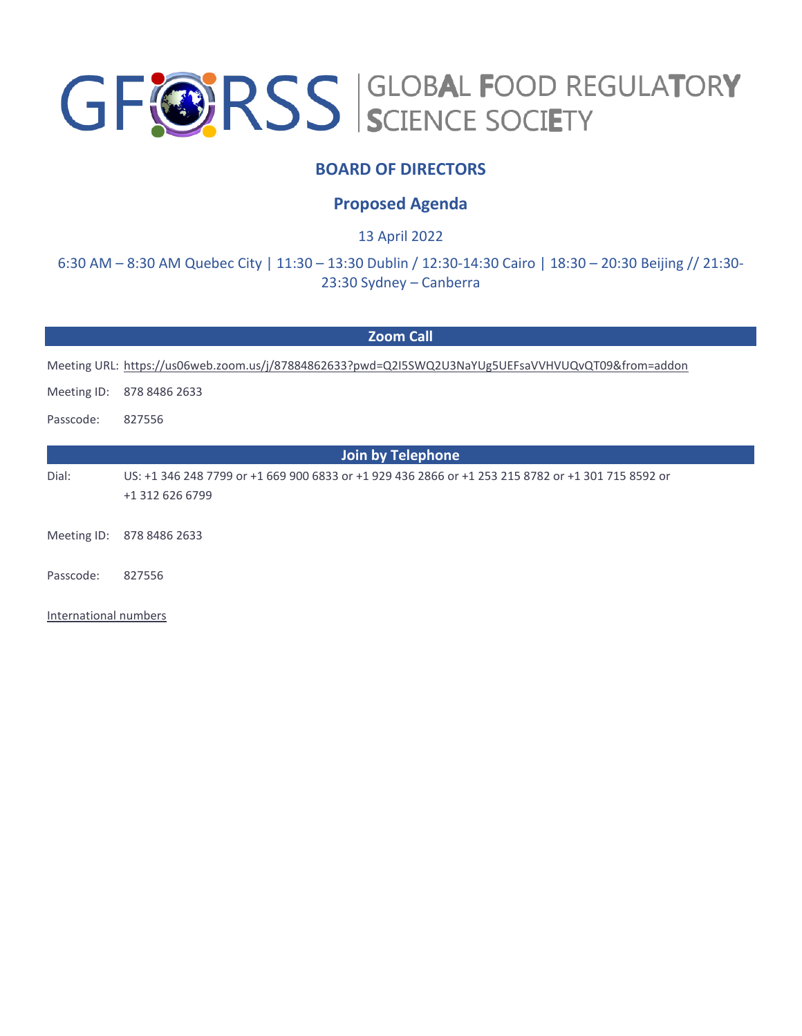# GF@RSS SCIENCE SOCIETY

### **BOARD OF DIRECTORS**

#### **Proposed Agenda**

13 April 2022

6:30 AM – 8:30 AM Quebec City | 11:30 – 13:30 Dublin / 12:30-14:30 Cairo | 18:30 – 20:30 Beijing // 21:30- 23:30 Sydney – Canberra

#### **Zoom Call**

Meeting URL:<https://us06web.zoom.us/j/87884862633?pwd=Q2I5SWQ2U3NaYUg5UEFsaVVHVUQvQT09&from=addon>

Meeting ID: 878 8486 2633

Passcode: 827556

**Join by Telephone** Dial: US: +1 346 248 7799 or +1 669 900 6833 or +1 929 436 2866 or +1 253 215 8782 or +1 301 715 8592 or +1 312 626 6799

Meeting ID: 878 8486 2633

Passcode: 827556

[International numbers](https://us06web.zoom.us/u/kdze1iKU7N)